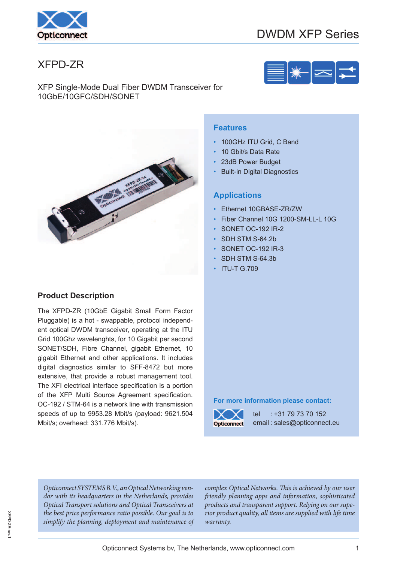

# DWDM XFP Series

## XFPD-ZR



**Representative Rivers** 

### **Product Description**

The XFPD-ZR (10GbE Gigabit Small Form Factor Pluggable) is a hot - swappable, protocol independent optical DWDM transceiver, operating at the ITU Grid 100Ghz wavelenghts, for 10 Gigabit per second SONET/SDH, Fibre Channel, gigabit Ethernet, 10 gigabit Ethernet and other applications. It includes digital diagnostics similar to SFF-8472 but more extensive, that provide a robust management tool. The XFI electrical interface specification is a portion of the XFP Multi Source Agreement specification. OC-192 / STM-64 is a network line with transmission speeds of up to 9953.28 Mbit/s (payload: 9621.504 Mbit/s; overhead: 331.776 Mbit/s).

#### **Features**

- 100GHz ITU Grid, C Band
- 10 Gbit/s Data Rate
- 23dB Power Budget
- **Built-in Digital Diagnostics**

#### **Applications**

- Ethernet 10GBASE-ZR/ZW
- Fiber Channel 10G 1200-SM-LL-L 10G
- SONET OC-192 IR-2
- SDH STM S-64.2b
- SONET OC-192 IR-3
- SDH STM S-64.3b
- ITU-T G.709

#### **For more information please contact:**



tel : +31 79 73 70 152 email : sales@opticonnect.eu

Opticonnect SYSTEMS B.V., an Optical Networking vendor with its headquarters in the Netherlands, provides Optical Transport solutions and Optical Transceivers at the best price performance ratio possible. Our goal is to simplify the planning, deployment and maintenance of

complex Optical Networks. This is achieved by our user friendly planning apps and information, sophisticated products and transparent support. Relying on our superior product quality, all items are supplied with life time warranty.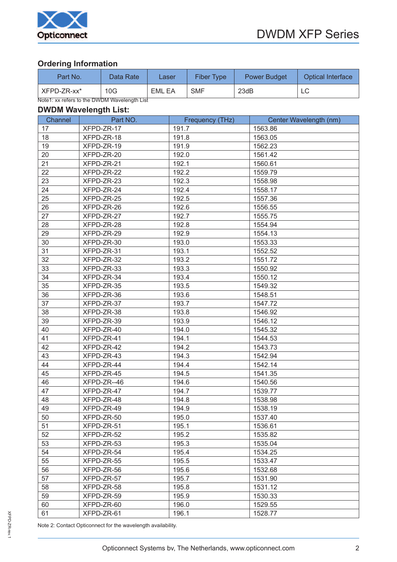

## **Ordering Information**

| Part No.                                     | Data Rate | Laser  | Fiber Type | <b>Power Budget</b> | <b>Optical Interface</b> |  |  |
|----------------------------------------------|-----------|--------|------------|---------------------|--------------------------|--|--|
| XFPD-ZR-xx*                                  | 10G       | EML EA | <b>SMF</b> | 23dB                | LC                       |  |  |
| Note1: xx refers to the DWDM Wavelength List |           |        |            |                     |                          |  |  |

#### **DWDM Wavelength List:**

| Channel | Part NO.    | Frequency (THz) | Center Wavelength (nm) |
|---------|-------------|-----------------|------------------------|
| 17      | XFPD-ZR-17  | 191.7           | 1563.86                |
| 18      | XFPD-ZR-18  | 191.8           | 1563.05                |
| 19      | XFPD-ZR-19  | 191.9           | 1562.23                |
| 20      | XFPD-ZR-20  | 192.0           | 1561.42                |
| 21      | XFPD-ZR-21  | 192.1           | 1560.61                |
| 22      | XFPD-ZR-22  | 192.2           | 1559.79                |
| 23      | XFPD-ZR-23  | 192.3           | 1558.98                |
| 24      | XFPD-ZR-24  | 192.4           | 1558.17                |
| 25      | XFPD-ZR-25  | 192.5           | 1557.36                |
| 26      | XFPD-ZR-26  | 192.6           | 1556.55                |
| 27      | XFPD-ZR-27  | 192.7           | 1555.75                |
| 28      | XFPD-ZR-28  | 192.8           | 1554.94                |
| 29      | XFPD-ZR-29  | 192.9           | 1554.13                |
| 30      | XFPD-ZR-30  | 193.0           | 1553.33                |
| 31      | XFPD-ZR-31  | 193.1           | 1552.52                |
| 32      | XFPD-ZR-32  | 193.2           | 1551.72                |
| 33      | XFPD-ZR-33  | 193.3           | 1550.92                |
| 34      | XFPD-ZR-34  | 193.4           | 1550.12                |
| 35      | XFPD-ZR-35  | 193.5           | 1549.32                |
| 36      | XFPD-ZR-36  | 193.6           | 1548.51                |
| 37      | XFPD-ZR-37  | 193.7           | 1547.72                |
| 38      | XFPD-ZR-38  | 193.8           | 1546.92                |
| 39      | XFPD-ZR-39  | 193.9           | 1546.12                |
| 40      | XFPD-ZR-40  | 194.0           | 1545.32                |
| 41      | XFPD-ZR-41  | 194.1           | 1544.53                |
| 42      | XFPD-ZR-42  | 194.2           | 1543.73                |
| 43      | XFPD-ZR-43  | 194.3           | 1542.94                |
| 44      | XFPD-ZR-44  | 194.4           | 1542.14                |
| 45      | XFPD-ZR-45  | 194.5           | 1541.35                |
| 46      | XFPD-ZR--46 | 194.6           | 1540.56                |
| 47      | XFPD-ZR-47  | 194.7           | 1539.77                |
| 48      | XFPD-ZR-48  | 194.8           | 1538.98                |
| 49      | XFPD-ZR-49  | 194.9           | 1538.19                |
| 50      | XFPD-ZR-50  | 195.0           | 1537.40                |
| 51      | XFPD-ZR-51  | 195.1           | 1536.61                |
| 52      | XFPD-ZR-52  | 195.2           | 1535.82                |
| 53      | XFPD-ZR-53  | 195.3           | 1535.04                |
| 54      | XFPD-ZR-54  | 195.4           | 1534.25                |
| 55      | XFPD-ZR-55  | 195.5           | 1533.47                |
| 56      | XFPD-ZR-56  | 195.6           | 1532.68                |
| 57      | XFPD-ZR-57  | 195.7           | 1531.90                |
| 58      | XFPD-ZR-58  | 195.8           | 1531.12                |
| 59      | XFPD-ZR-59  | 195.9           | 1530.33                |
| 60      | XFPD-ZR-60  | 196.0           | 1529.55                |
| 61      | XFPD-ZR-61  | 196.1           | 1528.77                |

Note 2: Contact Opticonnect for the wavelength availability.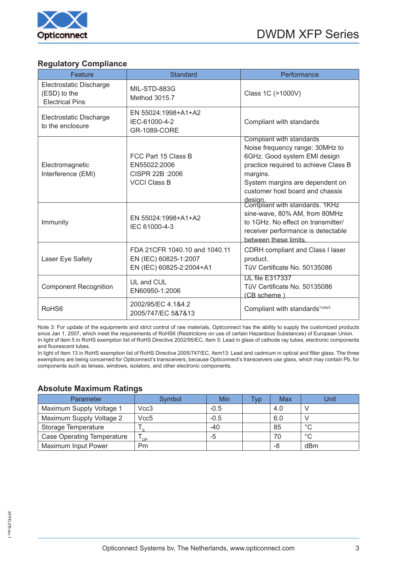

#### **Regulatory Compliance**

| Feature                                                           | <b>Standard</b>                                                                    | Performance                                                                                                                                                                                                           |
|-------------------------------------------------------------------|------------------------------------------------------------------------------------|-----------------------------------------------------------------------------------------------------------------------------------------------------------------------------------------------------------------------|
| Electrostatic Discharge<br>(ESD) to the<br><b>Electrical Pins</b> | MIL-STD-883G<br>Method 3015.7                                                      | Class 1C (>1000V)                                                                                                                                                                                                     |
| Electrostatic Discharge<br>to the enclosure                       | EN 55024:1998+A1+A2<br>IEC-61000-4-2<br>GR-1089-CORE                               | Compliant with standards                                                                                                                                                                                              |
| Electromagnetic<br>Interference (EMI)                             | FCC Part 15 Class B<br>EN55022:2006<br>CISPR 22B : 2006<br><b>VCCI Class B</b>     | Compliant with standards<br>Noise frequency range: 30MHz to<br>6GHz. Good system EMI design<br>practice required to achieve Class B<br>margins.<br>System margins are dependent on<br>customer host board and chassis |
| Immunity                                                          | EN 55024:1998+A1+A2<br>IEC 61000-4-3                                               | design.<br>Compliant with standards. 1KHz<br>sine-wave, 80% AM, from 80MHz<br>to 1GHz. No effect on transmitter/<br>receiver performance is detectable<br>between these limits.                                       |
| Laser Eye Safety                                                  | FDA 21CFR 1040.10 and 1040.11<br>EN (IEC) 60825-1:2007<br>EN (IEC) 60825-2:2004+A1 | CDRH compliant and Class I laser<br>product.<br>TüV Certificate No. 50135086                                                                                                                                          |
| <b>Component Recognition</b>                                      | UL and CUL<br>EN60950-1:2006                                                       | <b>UL file E317337</b><br>TüV Certificate No. 50135086<br>(CB scheme)                                                                                                                                                 |
| RoHS <sub>6</sub>                                                 | 2002/95/EC 4.1&4.2<br>2005/747/EC 5&7&13                                           | Compliant with standards*note3                                                                                                                                                                                        |

Note 3: For update of the equipments and strict control of raw materials, Opticonnect has the ability to supply the customized products since Jan 1, 2007, which meet the requirements of RoHS6 (Restrictions on use of certain Hazardous Substances) of European Union. In light of item 5 in RoHS exemption list of RoHS Directive 2002/95/EC, Item 5: Lead in glass of cathode ray tubes, electronic components and fluorescent tubes.

In light of item 13 in RoHS exemption list of RoHS Directive 2005/747/EC, Item13: Lead and cadmium in optical and filter glass. The three exemptions are being concerned for Opticonnect's transceivers, because Opticonnect's transceivers use glass, which may contain Pb, for components such as lenses, windows, isolators, and other electronic components.

#### **Absolute Maximum Ratings**

| Parameter                         | Symbol           | Min    | Typ | Max | Unit    |
|-----------------------------------|------------------|--------|-----|-----|---------|
| Maximum Supply Voltage 1          | Vcc3             | $-0.5$ |     | 4.0 |         |
| Maximum Supply Voltage 2          | Vcc <sub>5</sub> | $-0.5$ |     | 6.0 |         |
| Storage Temperature               | $\sim$           | -40    |     | 85  | $\circ$ |
| <b>Case Operating Temperature</b> | $\Omega$         | -5     |     | 70  | $\circ$ |
| <b>Maximum Input Power</b>        | Pm               |        |     | -8  | dBm     |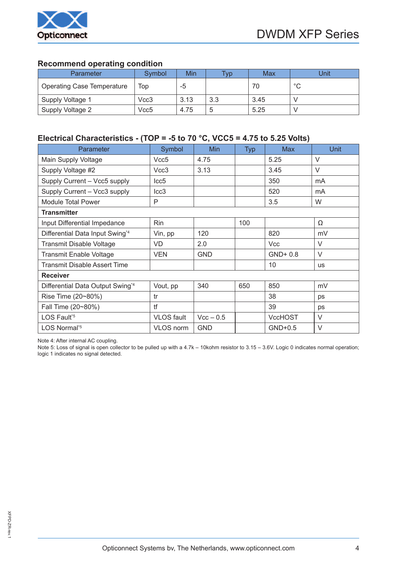

#### **Recommend operating condition**

| Parameter                         | Symbol | Min  | $T_V p$ | Max  | Jnit         |
|-----------------------------------|--------|------|---------|------|--------------|
| <b>Operating Case Temperature</b> | Top    | -5   |         | 70   | $\circ$<br>◡ |
| Supply Voltage 1                  | Vcc3   | 3.13 | 3.3     | 3.45 |              |
| Supply Voltage 2                  | Vcc5   | 4.75 | 5       | 5.25 |              |

### **Electrical Characteristics - (TOP = -5 to 70 °C, VCC5 = 4.75 to 5.25 Volts)**

| Parameter                        | Symbol            | Min         | <b>Typ</b> | <b>Max</b>     | <b>Unit</b> |
|----------------------------------|-------------------|-------------|------------|----------------|-------------|
| Main Supply Voltage              | Vcc <sub>5</sub>  | 4.75        |            | 5.25           | $\vee$      |
| Supply Voltage #2                | Vcc3              | 3.13        |            | 3.45           | $\vee$      |
| Supply Current - Vcc5 supply     | Icc <sub>5</sub>  |             |            | 350            | mA          |
| Supply Current - Vcc3 supply     | Icc <sub>3</sub>  |             |            | 520            | mA          |
| <b>Module Total Power</b>        | P                 |             |            | 3.5            | W           |
| <b>Transmitter</b>               |                   |             |            |                |             |
| Input Differential Impedance     | Rin               |             | 100        |                | Ω           |
| Differential Data Input Swing*4  | Vin, pp           | 120         |            | 820            | mV          |
| <b>Transmit Disable Voltage</b>  | VD                | 2.0         |            | <b>Vcc</b>     | $\vee$      |
| <b>Transmit Enable Voltage</b>   | <b>VEN</b>        | <b>GND</b>  |            | GND+0.8        | $\vee$      |
| Transmit Disable Assert Time     |                   |             |            | 10             | <b>US</b>   |
| <b>Receiver</b>                  |                   |             |            |                |             |
| Differential Data Output Swing*4 | Vout, pp          | 340         | 650        | 850            | mV          |
| Rise Time (20~80%)               | tr                |             |            | 38             | ps          |
| Fall Time (20~80%)               | tf                |             |            | 39             | ps          |
| LOS Fault <sup>*5</sup>          | <b>VLOS</b> fault | $Vcc - 0.5$ |            | <b>VccHOST</b> | V           |
| LOS Normal <sup>*5</sup>         | VLOS norm         | <b>GND</b>  |            | $GND+0.5$      | $\vee$      |

Note 4: After internal AC coupling.

Note 5: Loss of signal is open collector to be pulled up with a 4.7k – 10kohm resistor to 3.15 – 3.6V. Logic 0 indicates normal operation; logic 1 indicates no signal detected.